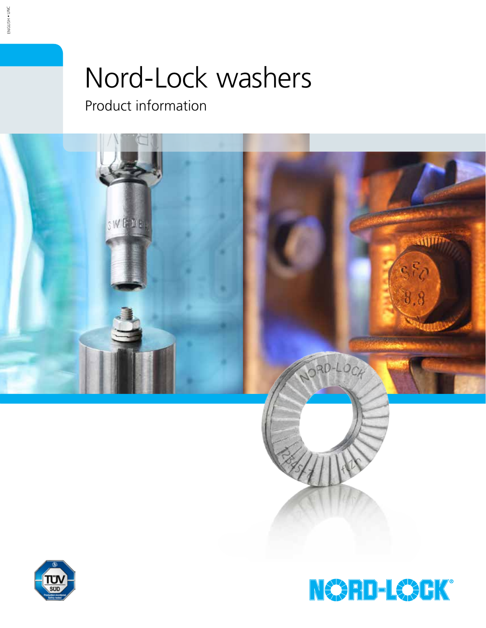# Nord-Lock washers

Product information





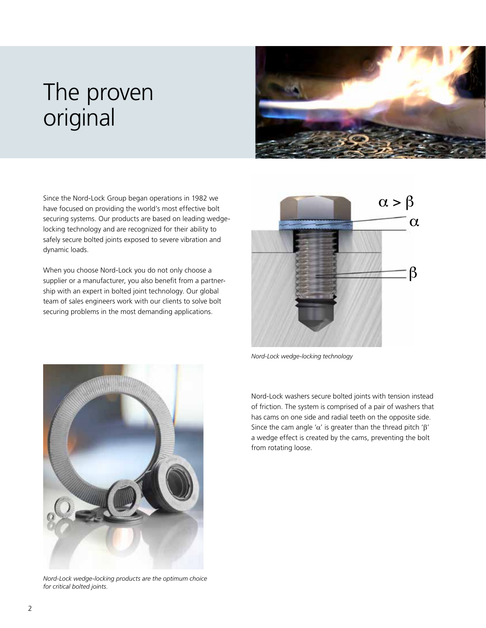## The proven original



Since the Nord-Lock Group began operations in 1982 we have focused on providing the world's most effective bolt securing systems. Our products are based on leading wedgelocking technology and are recognized for their ability to safely secure bolted joints exposed to severe vibration and dynamic loads.

When you choose Nord-Lock you do not only choose a supplier or a manufacturer, you also benefit from a partnership with an expert in bolted joint technology. Our global team of sales engineers work with our clients to solve bolt securing problems in the most demanding applications.



*Nord-Lock wedge-locking technology*





*Nord-Lock wedge-locking products are the optimum choice for critical bolted joints.*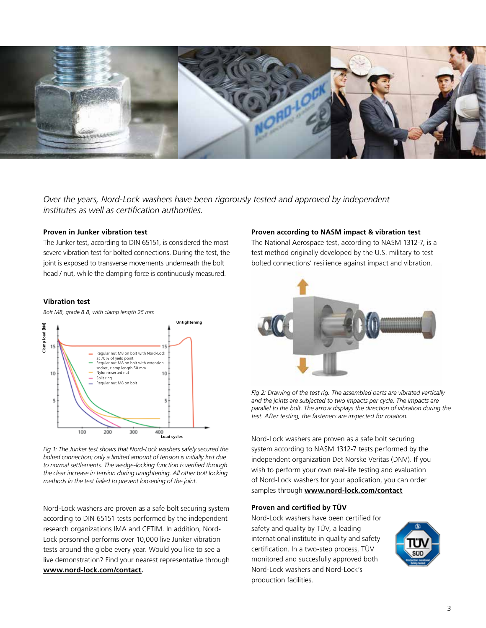

*Over the years, Nord-Lock washers have been rigorously tested and approved by independent institutes as well as certification authorities.*

#### **Proven in Junker vibration test**

The Junker test, according to DIN 65151, is considered the most severe vibration test for bolted connections. During the test, the joint is exposed to transverse movements underneath the bolt head / nut, while the clamping force is continuously measured.

#### **Vibration test**

*Bolt M8, grade 8.8, with clamp length 25 mm*



*Fig 1: The Junker test shows that Nord-Lock washers safely secured the bolted connection; only a limited amount of tension is initially lost due to normal settlements. The wedge-locking function is verified through the clear increase in tension during untightening. All other bolt locking methods in the test failed to prevent loosening of the joint.*

Nord-Lock washers are proven as a safe bolt securing system according to DIN 65151 tests performed by the independent research organizations IMA and CETIM. In addition, Nord-Lock personnel performs over 10,000 live Junker vibration tests around the globe every year. Would you like to see a live demonstration? Find your nearest representative through **www.nord-lock.com/contact.**

#### **Proven according to NASM impact & vibration test**

The National Aerospace test, according to NASM 1312-7, is a test method originally developed by the U.S. military to test bolted connections' resilience against impact and vibration.



*Fig 2: Drawing of the test rig. The assembled parts are vibrated vertically and the joints are subjected to two impacts per cycle. The impacts are parallel to the bolt. The arrow displays the direction of vibration during the test. After testing, the fasteners are inspected for rotation.* 

Nord-Lock washers are proven as a safe bolt securing system according to NASM 1312-7 tests performed by the independent organization Det Norske Veritas (DNV). If you wish to perform your own real-life testing and evaluation of Nord-Lock washers for your application, you can order samples through **www.nord-lock.com/contact**

#### **Proven and certified by TÜV**

Nord-Lock washers have been certified for safety and quality by TÜV, a leading international institute in quality and safety certification. In a two-step process, TÜV monitored and succesfully approved both Nord-Lock washers and Nord-Lock's production facilities.

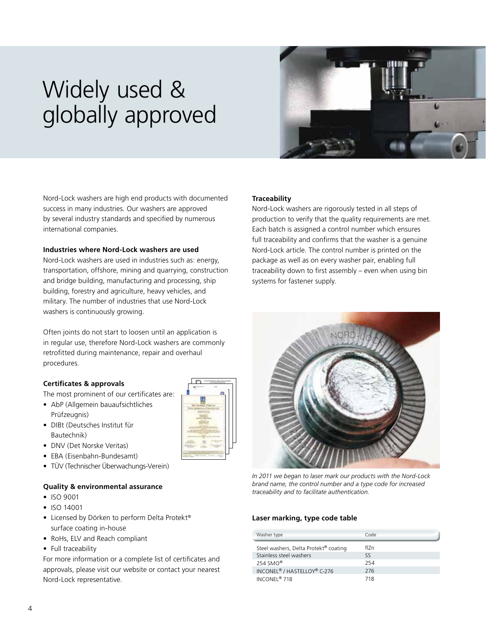## Widely used & globally approved



Nord-Lock washers are high end products with documented success in many industries. Our washers are approved by several industry standards and specified by numerous international companies.

#### **Industries where Nord-Lock washers are used**

Nord-Lock washers are used in industries such as: energy, transportation, offshore, mining and quarrying, construction and bridge building, manufacturing and processing, ship building, forestry and agriculture, heavy vehicles, and military. The number of industries that use Nord-Lock washers is continuously growing.

Often joints do not start to loosen until an application is in regular use, therefore Nord-Lock washers are commonly retrofitted during maintenance, repair and overhaul procedures.

#### **Certificates & approvals**

The most prominent of our certificates are:

- AbP (Allgemein bauaufsichtliches Prüfzeugnis)
- DIBt (Deutsches Institut für Bautechnik)
- DNV (Det Norske Veritas)
- EBA (Eisenbahn-Bundesamt)
- TÜV (Technischer Überwachungs-Verein)

#### **Quality & environmental assurance**

- ISO 9001
- ISO 14001
- Licensed by Dörken to perform Delta Protekt® surface coating in-house
- RoHs, ELV and Reach compliant
- Full traceability

For more information or a complete list of certificates and approvals, please visit our website or contact your nearest Nord-Lock representative.

#### **Traceability**

Nord-Lock washers are rigorously tested in all steps of production to verify that the quality requirements are met. Each batch is assigned a control number which ensures full traceability and confirms that the washer is a genuine Nord-Lock article. The control number is printed on the package as well as on every washer pair, enabling full traceability down to first assembly – even when using bin systems for fastener supply.



*In 2011 we began to laser mark our products with the Nord-Lock brand name, the control number and a type code for increased traceability and to facilitate authentication.*

#### **Laser marking, type code table**

| Washer type                                         | Code |
|-----------------------------------------------------|------|
| Steel washers, Delta Protekt <sup>®</sup> coating   | fl7n |
| Stainless steel washers                             | SS.  |
| $254$ SMO <sup>®</sup>                              | 254  |
| INCONEL <sup>®</sup> / HASTELLOY <sup>®</sup> C-276 | 276  |
| INCONFI <sup>®</sup> 718                            | 718  |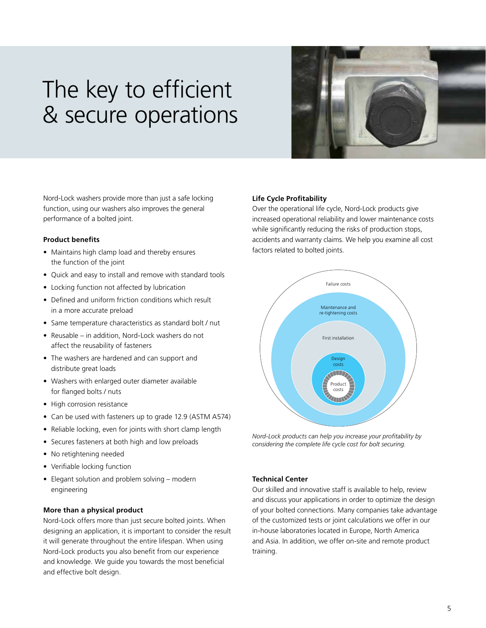## The key to efficient & secure operations



Nord-Lock washers provide more than just a safe locking function, using our washers also improves the general performance of a bolted joint.

#### **Product benefits**

- Maintains high clamp load and thereby ensures the function of the joint
- Quick and easy to install and remove with standard tools
- Locking function not affected by lubrication
- Defined and uniform friction conditions which result in a more accurate preload
- Same temperature characteristics as standard bolt / nut
- Reusable in addition, Nord-Lock washers do not affect the reusability of fasteners
- The washers are hardened and can support and distribute great loads
- Washers with enlarged outer diameter available for flanged bolts / nuts
- High corrosion resistance
- Can be used with fasteners up to grade 12.9 (ASTM A574)
- Reliable locking, even for joints with short clamp length
- Secures fasteners at both high and low preloads
- No retightening needed
- Verifiable locking function
- Elegant solution and problem solving modern engineering

#### **More than a physical product**

Nord-Lock offers more than just secure bolted joints. When designing an application, it is important to consider the result it will generate throughout the entire lifespan. When using Nord-Lock products you also benefit from our experience and knowledge. We guide you towards the most beneficial and effective bolt design.

#### **Life Cycle Profitability**

Over the operational life cycle, Nord-Lock products give increased operational reliability and lower maintenance costs while significantly reducing the risks of production stops, accidents and warranty claims. We help you examine all cost factors related to bolted joints.



*Nord-Lock products can help you increase your profitability by considering the complete life cycle cost for bolt securing.*

#### **Technical Center**

Our skilled and innovative staff is available to help, review and discuss your applications in order to optimize the design of your bolted connections. Many companies take advantage of the customized tests or joint calculations we offer in our in-house laboratories located in Europe, North America and Asia. In addition, we offer on-site and remote product training.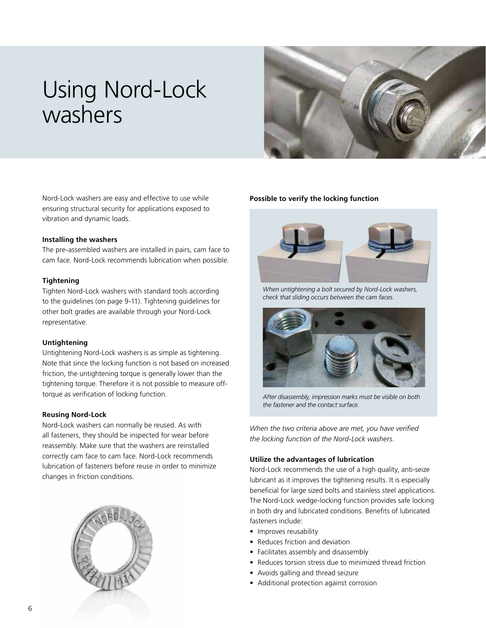## Using Nord-Lock washers



Nord-Lock washers are easy and effective to use while ensuring structural security for applications exposed to vibration and dynamic loads.

#### **Installing the washers**

The pre-assembled washers are installed in pairs, cam face to cam face. Nord-Lock recommends lubrication when possible.

#### **Tightening**

Tighten Nord-Lock washers with standard tools according to the guidelines (on page 9-11). Tightening guidelines for other bolt grades are available through your Nord-Lock representative.

#### **Untightening**

Untightening Nord-Lock washers is as simple as tightening. Note that since the locking function is not based on increased friction, the untightening torque is generally lower than the tightening torque. Therefore it is not possible to measure offtorque as verification of locking function.

#### **Reusing Nord-Lock**

Nord-Lock washers can normally be reused. As with all fasteners, they should be inspected for wear before reassembly. Make sure that the washers are reinstalled correctly cam face to cam face. Nord-Lock recommends lubrication of fasteners before reuse in order to minimize changes in friction conditions.



#### **Possible to verify the locking function**



*When untightening a bolt secured by Nord-Lock washers, check that sliding occurs between the cam faces.*



*After disassembly, impression marks must be visible on both the fastener and the contact surface.*

*When the two criteria above are met, you have verified the locking function of the Nord-Lock washers.*

#### **Utilize the advantages of lubrication**

Nord-Lock recommends the use of a high quality, anti-seize lubricant as it improves the tightening results. It is especially beneficial for large sized bolts and stainless steel applications. The Nord-Lock wedge-locking function provides safe locking in both dry and lubricated conditions. Benefits of lubricated fasteners include:

- Improves reusability
- Reduces friction and deviation
- Facilitates assembly and disassembly
- Reduces torsion stress due to minimized thread friction
- Avoids galling and thread seizure
- Additional protection against corrosion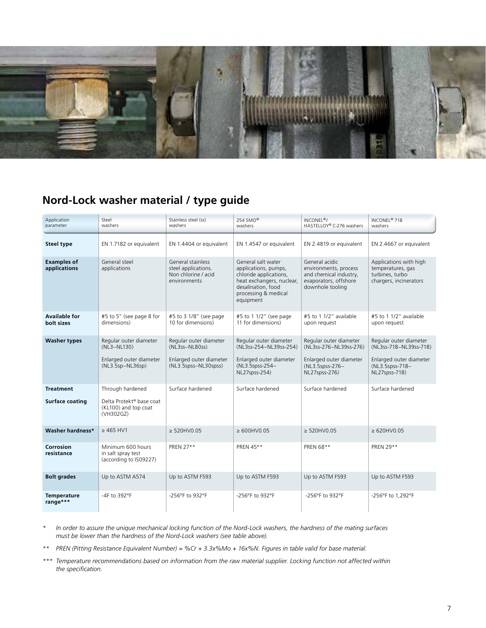

## **Nord-Lock washer material / type guide**

| Application<br>parameter                                                      | Stainless steel (ss)<br>Steel<br>washers<br>washers                                    |                                                                                                                                                                                                                                                 | 254 SMO <sup>®</sup><br>washers                                                                                 | INCONEL <sup>®</sup> /<br>HASTELLOY® C-276 washers                                                              | INCONEL <sup>®</sup> 718<br>washers                                                                             |
|-------------------------------------------------------------------------------|----------------------------------------------------------------------------------------|-------------------------------------------------------------------------------------------------------------------------------------------------------------------------------------------------------------------------------------------------|-----------------------------------------------------------------------------------------------------------------|-----------------------------------------------------------------------------------------------------------------|-----------------------------------------------------------------------------------------------------------------|
| <b>Steel type</b>                                                             | EN 1.7182 or equivalent                                                                | EN 1.4404 or equivalent                                                                                                                                                                                                                         | EN 1.4547 or equivalent                                                                                         | EN 2.4819 or equivalent                                                                                         | EN 2.4667 or equivalent                                                                                         |
| <b>Examples of</b><br>applications                                            | General steel<br>applications                                                          | General stainless<br>General salt water<br>steel applications.<br>applications, pumps,<br>Non chlorine / acid<br>chloride applications,<br>environments<br>heat exchangers, nuclear,<br>desalination, food<br>processing & medical<br>equipment |                                                                                                                 | General acidic<br>environments, process<br>and chemical industry,<br>evaporators, offshore<br>downhole tooling  | Applications with high<br>temperatures, gas<br>turbines, turbo<br>chargers, incinerators                        |
| <b>Available for</b><br>#5 to 5" (see page 8 for<br>bolt sizes<br>dimensions) |                                                                                        | #5 to 3 1/8" (see page<br>10 for dimensions)                                                                                                                                                                                                    | #5 to 1 1/2" (see page<br>11 for dimensions)                                                                    | #5 to 1 1/2" available<br>upon request                                                                          | #5 to 1 1/2" available<br>upon request                                                                          |
| <b>Washer types</b>                                                           | Regular outer diameter<br>(NL3-NL130)<br>Enlarged outer diameter<br>$(NL3.5sp-NL36sp)$ | Regular outer diameter<br>(NL3ss-NL80ss)<br>Enlarged outer diameter<br>(NL3.5spss-NL30spss)                                                                                                                                                     | Regular outer diameter<br>(NL3ss-254-NL39ss-254)<br>Enlarged outer diameter<br>(NL3.5spss-254-<br>NL27spss-254) | Regular outer diameter<br>(NL3ss-276-NL39ss-276)<br>Enlarged outer diameter<br>(NL3.5spss-276-<br>NL27spss-276) | Regular outer diameter<br>(NL3ss-718-NL39ss-718)<br>Enlarged outer diameter<br>(NL3.5spss-718-<br>NL27spss-718) |
| <b>Treatment</b><br><b>Surface coating</b>                                    | Through hardened<br>Delta Protekt® base coat<br>(KL100) and top coat<br>(VH302GZ)      | Surface hardened                                                                                                                                                                                                                                | Surface hardened                                                                                                | Surface hardened                                                                                                | Surface hardened                                                                                                |
| Washer hardness*                                                              | $> 465$ HV1                                                                            | $\geq$ 520HV0.05                                                                                                                                                                                                                                | $\geq 600$ HV0.05                                                                                               | $\geq$ 520HV0.05                                                                                                | $\geq 620$ HV0.05                                                                                               |
| Corrosion<br>resistance                                                       | Minimum 600 hours<br>in salt spray test<br>(according to IS09227)                      | PREN 27**                                                                                                                                                                                                                                       | PREN 45**                                                                                                       | PREN 68**                                                                                                       | PREN 29**                                                                                                       |
| <b>Bolt grades</b>                                                            | Up to ASTM A574                                                                        | Up to ASTM F593                                                                                                                                                                                                                                 | Up to ASTM F593                                                                                                 | Up to ASTM F593                                                                                                 | Up to ASTM F593                                                                                                 |
| <b>Temperature</b><br>range***                                                | -4F to 392°F                                                                           | -256°F to 932°F                                                                                                                                                                                                                                 | -256°F to 932°F                                                                                                 | -256°F to 932°F                                                                                                 | -256°F to 1,292°F                                                                                               |

*\* In order to assure the unique mechanical locking function of the Nord-Lock washers, the hardness of the mating surfaces must be lower than the hardness of the Nord-Lock washers (see table above).*

*\*\* PREN (Pitting Resistance Equivalent Number) = %Cr + 3.3x%Mo + 16x%N. Figures in table valid for base material.*

*\*\*\* Temperature recommendations based on information from the raw material supplier. Locking function not affected within the specification.*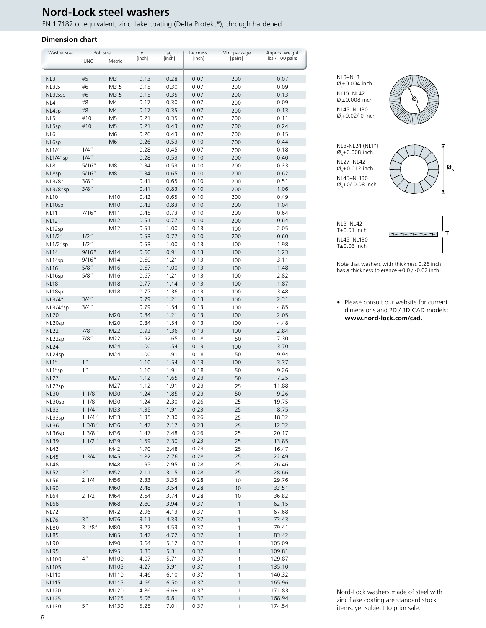### **Nord-Lock steel washers**

EN 1.7182 or equivalent, zinc flake coating (Delta Protekt®), through hardened

#### **Dimension chart**

| Washer size             |                 | Bolt size      | Ø,           | $\underset{\left[\text{inch}\right]}{\overset{\text{\O}}{\circ}}$ | Thickness T  | Min. package  | Approx. weight  |
|-------------------------|-----------------|----------------|--------------|-------------------------------------------------------------------|--------------|---------------|-----------------|
|                         | <b>UNC</b>      | Metric         | [inch]       |                                                                   | [inch]       | [pairs]       | lbs / 100 pairs |
|                         |                 |                |              |                                                                   |              |               |                 |
| NL3                     | #5              | M3             | 0.13         | 0.28                                                              | 0.07         | 200           | 0.07            |
| <b>NL3.5</b>            | #6<br>#6        | M3.5           | 0.15         | 0.30                                                              | 0.07         | 200           | 0.09<br>0.13    |
| NL3.5sp                 | #8              | M3.5<br>M4     | 0.15<br>0.17 | 0.35<br>0.30                                                      | 0.07<br>0.07 | 200           | 0.09            |
| NL4                     | #8              | M4             | 0.17         | 0.35                                                              | 0.07         | 200<br>200    | 0.13            |
| NL4sp<br>NL5            | #10             | M5             | 0.21         | 0.35                                                              | 0.07         | 200           | 0.11            |
|                         | #10             | M <sub>5</sub> | 0.21         | 0.43                                                              | 0.07         | 200           | 0.24            |
| NL5sp<br>NL6            |                 | M6             | 0.26         | 0.43                                                              | 0.07         | 200           | 0.15            |
|                         |                 | M <sub>6</sub> | 0.26         | 0.53                                                              | 0.10         | 200           | 0.44            |
| NL6sp<br>NL1/4"         | $1/4$ "         |                | 0.28         | 0.45                                                              | 0.07         | 200           | 0.18            |
| NL1/4"sp                | $1/4$ "         |                | 0.28         | 0.53                                                              | 0.10         | 200           | 0.40            |
| NL8                     | 5/16"           | M8             | 0.34         | 0.53                                                              | 0.10         | 200           | 0.33            |
|                         | 5/16"           | M <sub>8</sub> | 0.34         | 0.65                                                              | 0.10         | 200           | 0.62            |
| NL8sp<br>NL3/8"         | 3/8"            |                | 0.41         | 0.65                                                              | 0.10         | 200           | 0.51            |
|                         | $3/8$ "         |                | 0.41         | 0.83                                                              | 0.10         | 200           | 1.06            |
| NL3/8"sp<br><b>NL10</b> |                 | M10            | 0.42         | 0.65                                                              | 0.10         | 200           | 0.49            |
|                         |                 | M10            | 0.42         | 0.83                                                              | 0.10         |               | 1.04            |
| NL10sp                  | 7/16"           | M11            | 0.45         | 0.73                                                              | 0.10         | 200           | 0.64            |
| <b>NL11</b>             |                 |                | 0.51         |                                                                   |              | 200           |                 |
| <b>NL12</b>             |                 | M12<br>M12     | 0.51         | 0.77<br>1.00                                                      | 0.10<br>0.13 | 200           | 0.64<br>2.05    |
| NL12sp                  | $1/2$ "         |                | 0.53         | 0.77                                                              | 0.10         | 100<br>200    | 0.60            |
| NL1/2"                  | $1/2$ "         |                | 0.53         | 1.00                                                              | 0.13         |               | 1.98            |
| NL1/2"sp<br><b>NL14</b> | 9/16"           | M14            | 0.60         | 0.91                                                              | 0.13         | 100<br>100    | 1.23            |
| NL14sp                  | 9/16"           | M14            | 0.60         | 1.21                                                              | 0.13         | 100           | 3.11            |
| <b>NL16</b>             | $5/8$ "         | M16            | 0.67         |                                                                   | 0.13         | 100           | 1.48            |
|                         | 5/8"            | M16            | 0.67         | 1.00<br>1.21                                                      | 0.13         | 100           | 2.82            |
| NL16sp<br><b>NL18</b>   |                 | M18            | 0.77         | 1.14                                                              | 0.13         | 100           | 1.87            |
|                         |                 | M18            | 0.77         | 1.36                                                              | 0.13         | 100           | 3.48            |
| NL18sp<br>NL3/4"        | 3/4''           |                | 0.79         |                                                                   | 0.13         | 100           | 2.31            |
|                         | 3/4''           |                | 0.79         | 1.21<br>1.54                                                      | 0.13         |               | 4.85            |
| NL3/4"sp                |                 |                |              |                                                                   |              | 100           |                 |
| <b>NL20</b>             |                 | M20            | 0.84         | 1.21                                                              | 0.13         | 100           | 2.05            |
| NL20sp                  |                 | M20            | 0.84         | 1.54                                                              | 0.13         | 100           | 4.48            |
| <b>NL22</b>             | $7/8$ "         | M22            | 0.92<br>0.92 | 1.36                                                              | 0.13         | 100           | 2.84            |
| NL22sp                  | 7/8"            | M22<br>M24     | 1.00         | 1.65<br>1.54                                                      | 0.18<br>0.13 | 50<br>100     | 7.30<br>3.70    |
| <b>NL24</b>             |                 | M24            | 1.00         | 1.91                                                              | 0.18         | 50            | 9.94            |
| NL24sp<br>NL1"          | $1$ "           |                | 1.10         | 1.54                                                              | 0.13         | 100           | 3.37            |
| NL1"sp                  | 1"              |                | 1.10         | 1.91                                                              | 0.18         | 50            | 9.26            |
| <b>NL27</b>             |                 | M27            | 1.12         | 1.65                                                              | 0.23         | 50            | 7.25            |
| NL27sp                  |                 | M27            | 1.12         | 1.91                                                              | 0.23         | 25            | 11.88           |
| <b>NL30</b>             | 11/8"           | M30            | 1.24         | 1.85                                                              | 0.23         | 50            | 9.26            |
| NL30sp                  | 11/8"           | M30            | 1.24         | 2.30                                                              | 0.26         | 25            | 19.75           |
| <b>NL33</b>             | 11/4"           | M33            | 1.35         | 1.91                                                              | 0.23         | 25            | 8.75            |
| NL33sp                  | 11/4"           | M33            | 1.35         | 2.30                                                              | 0.26         | 25            | 18.32           |
| <b>NL36</b>             | 13/8"           | M36            | 1.47         | 2.17                                                              | 0.23         | 25            | 12.32           |
| NL36sp                  | 13/8"           | M36            | 1.47         | 2.48                                                              | 0.26         | 25            | 20.17           |
| <b>NL39</b>             | 11/2"           | M39            | 1.59         | 2.30                                                              | 0.23         | 25            | 13.85           |
| <b>NL42</b>             |                 | M42            | 1.70         | 2.48                                                              | 0.23         | 25            | 16.47           |
| <b>NL45</b>             | 13/4"           | M45            | 1.82         | 2.76                                                              | 0.28         | 25            | 22.49           |
| <b>NL48</b>             |                 | M48            | 1.95         | 2.95                                                              | 0.28         | 25            | 26.46           |
| <b>NL52</b>             | 2 <sup>n</sup>  | M52            | 2.11         | 3.15                                                              | 0.28         | 25            | 28.66           |
| <b>NL56</b>             | 21/4"           | M56            | 2.33         | 3.35                                                              | 0.28         | 10            | 29.76           |
| <b>NL60</b>             |                 | M60            | 2.48         | 3.54                                                              | 0.28         | $10$          | 33.51           |
| <b>NL64</b>             | 21/2"           | M64            | 2.64         | 3.74                                                              | 0.28         | 10            | 36.82           |
| <b>NL68</b>             |                 | M68            | 2.80         | 3.94                                                              | 0.37         | $\mathbf{1}$  | 62.15           |
| <b>NL72</b>             |                 | M72            | 2.96         | 4.13                                                              | 0.37         | 1             | 67.68           |
| <b>NL76</b>             | 3''             | M76            | 3.11         | 4.33                                                              | 0.37         | $\mathbf{1}$  | 73.43           |
| <b>NL80</b>             | 31/8"           | M80            | 3.27         | 4.53                                                              | 0.37         | 1             | 79.41           |
| <b>NL85</b>             |                 | M85            | 3.47         | 4.72                                                              | 0.37         | $\mathbf{1}$  | 83.42           |
| <b>NL90</b>             |                 | M90            | 3.64         | 5.12                                                              | 0.37         | 1             | 105.09          |
| <b>NL95</b>             |                 | M95            | 3.83         | 5.31                                                              | 0.37         | $\mathbf{1}$  | 109.81          |
| <b>NL100</b>            | 4 <sup>''</sup> | M100           | 4.07         | 5.71                                                              | 0.37         | 1             | 129.87          |
| <b>NL105</b>            |                 | M105           | 4.27         | 5.91                                                              | 0.37         | $\mathbf{1}$  | 135.10          |
| <b>NL110</b>            |                 | M110           | 4.46         | 6.10                                                              | 0.37         | 1             | 140.32          |
| <b>NL115</b>            |                 | M115           | 4.66         | 6.50                                                              | 0.37         | $\mathbf{1}$  | 165.96          |
| <b>NL120</b>            |                 | M120           | 4.86         | 6.69                                                              | 0.37         | 1             | 171.83          |
| <b>NL125</b>            |                 | M125           | 5.06         | 6.81                                                              | 0.37         | $\mathfrak 1$ | 168.94          |
| <b>NL130</b>            | 5"              | M130           | 5.25         | 7.01                                                              | 0.37         | 1             | 174.54          |
|                         |                 |                |              |                                                                   |              |               |                 |

NL3–NL8 Ø<sub>i</sub>±0.004 inch NL10–NL42 Ø<sub>i</sub>±0.008 inch NL45–NL130 Ø<sub>i</sub>+0.02/-0 inch



NL3-NL24 (NL1")  $\varnothing_{\circ}$ ±0.008 inch NL27–NL42  $\varnothing_{\circ} \pm 0.012$  inch NL45–NL130  $\varnothing$ <sub>o</sub>+0/-0.08 inch



NL3–NL42 T±0.01 inch NL45–NL130  $T±0.03$  inch



Note that washers with thickness 0.26 inch has a thickness tolerance +0.0 / -0.02 inch

• Please consult our website for current dimensions and 2D / 3D CAD models: **www.nord-lock.com/cad.**

Nord-Lock washers made of steel with zinc flake coating are standard stock items, yet subject to prior sale.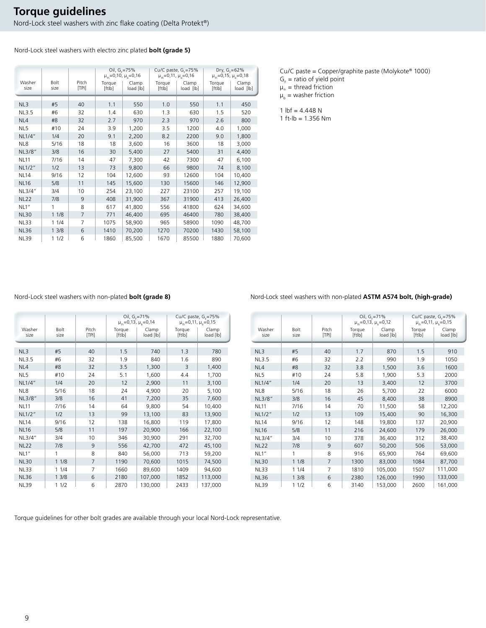Nord-Lock steel washers with electro zinc plated **bolt (grade 5)**

|                |              |                | Oil, $G_c = 75%$<br>$\mu_{th} = 0.10$ , $\mu_{h} = 0.16$ |                    |                  | Cu/C paste, $G_c = 75\%$<br>$\mu_{th} = 0.11$ , $\mu_{h} = 0.16$ |                  | Dry, $G_c = 62\%$<br>$\mu_{\text{th}}$ =0,15, $\mu_{\text{h}}$ =0,18 |
|----------------|--------------|----------------|----------------------------------------------------------|--------------------|------------------|------------------------------------------------------------------|------------------|----------------------------------------------------------------------|
| Washer<br>size | Bolt<br>size | Pitch<br>[TP1] | Torque<br>[ftlb]                                         | Clamp<br>load [lb] | Torque<br>[ftlb] | Clamp<br>load [lb]                                               | Torque<br>[ftlb] | Clamp<br>load [lb]                                                   |
| NL3            | #5           | 40             | 1.1                                                      | 550                | 1.0              | 550                                                              | 1.1              | 450                                                                  |
| <b>NL3.5</b>   | #6           | 32             | 1.4                                                      | 630                | 1.3              | 630                                                              | 1.5              | 520                                                                  |
| NL4            | #8           | 32             | 2.7                                                      | 970                | 2.3              | 970                                                              | 2.6              | 800                                                                  |
| NL5            | #10          | 24             | 3.9                                                      | 1,200              | 3.5              | 1200                                                             | 4.0              | 1,000                                                                |
| NL1/4"         | 1/4          | 20             | 9.1                                                      | 2,200              | 8.2              | 2200                                                             | 9.0              | 1,800                                                                |
| NL8            | 5/16         | 18             | 18                                                       | 3,600              | 16               | 3600                                                             | 18               | 3,000                                                                |
| NL3/8"         | 3/8          | 16             | 30                                                       | 5,400              | 27               | 5400                                                             | 31               | 4,400                                                                |
| <b>NL11</b>    | 7/16         | 14             | 47                                                       | 7,300              | 42               | 7300                                                             | 47               | 6,100                                                                |
| NL1/2"         | 1/2          | 13             | 73                                                       | 9,800              | 66               | 9800                                                             | 74               | 8,100                                                                |
| <b>NL14</b>    | 9/16         | 12             | 104                                                      | 12,600             | 93               | 12600                                                            | 104              | 10,400                                                               |
| <b>NL16</b>    | 5/8          | 11             | 145                                                      | 15,600             | 130              | 15600                                                            | 146              | 12,900                                                               |
| NL3/4"         | 3/4          | 10             | 254                                                      | 23,100             | 227              | 23100                                                            | 257              | 19,100                                                               |
| <b>NL22</b>    | 7/8          | 9              | 408                                                      | 31,900             | 367              | 31900                                                            | 413              | 26,400                                                               |
| NL1"           | 1            | 8              | 617                                                      | 41,800             | 556              | 41800                                                            | 624              | 34,600                                                               |
| <b>NL30</b>    | 11/8         | $\overline{7}$ | 771                                                      | 46,400             | 695              | 46400                                                            | 780              | 38,400                                                               |
| <b>NL33</b>    | 11/4         | 7              | 1075                                                     | 58,900             | 965              | 58900                                                            | 1090             | 48,700                                                               |
| <b>NL36</b>    | 13/8         | 6              | 1410                                                     | 70,200             | 1270             | 70200                                                            | 1430             | 58,100                                                               |
| <b>NL39</b>    | 11/2         | 6              | 1860                                                     | 85,500             | 1670             | 85500                                                            | 1880             | 70,600                                                               |

Cu/C paste = Copper/graphite paste (Molykote® 1000)

 $G_F$  = ratio of yield point  $\mu_{th}$  = thread friction

 $\mu_b$  = washer friction

1  $Ibf = 4.448 N$ 

1 ft-lb = 1.356 Nm

### Nord-Lock steel washers with non-plated **bolt (grade 8)** Nord-Lock steel washers with non-plated **ASTM A574 bolt, (high-grade)**

|                |              |                | Oil, $G_c = 71%$<br>$\mu_{\text{th}} = 0.13$ , $\mu_{\text{h}} = 0.14$ |                    |                  | Cu/C paste, G <sub>c</sub> =75%<br>$\mu_{\text{th}} = 0.11$ , $\mu_{\text{h}} = 0.15$ |
|----------------|--------------|----------------|------------------------------------------------------------------------|--------------------|------------------|---------------------------------------------------------------------------------------|
| Washer<br>size | Bolt<br>size | Pitch<br>[TP1] | Torque<br>[ftlb]                                                       | Clamp<br>load [lb] | Torque<br>[ftlb] | Clamp<br>load [lb]                                                                    |
|                |              |                |                                                                        |                    |                  |                                                                                       |
| NL3            | #5           | 40             | 1.5                                                                    | 740                | 1.3              | 780                                                                                   |
| <b>NL3.5</b>   | #6           | 32             | 1.9                                                                    | 840                | 1.6              | 890                                                                                   |
| NL4            | #8           | 32             | 3.5                                                                    | 1,300              | 3                | 1,400                                                                                 |
| NL5            | #10          | 24             | 5.1                                                                    | 1,600              | 4.4              | 1,700                                                                                 |
| NL1/4"         | 1/4          | 20             | 12                                                                     | 2,900              | 11               | 3,100                                                                                 |
| NL8            | 5/16         | 18             | 24                                                                     | 4,900              | 20               | 5,100                                                                                 |
| NL3/8"         | 3/8          | 16             | 41                                                                     | 7,200              | 35               | 7,600                                                                                 |
| <b>NL11</b>    | 7/16         | 14             | 64                                                                     | 9,800              | 54               | 10,400                                                                                |
| NL1/2"         | 1/2          | 13             | 99                                                                     | 13,100             | 83               | 13,900                                                                                |
| <b>NL14</b>    | 9/16         | 12             | 138                                                                    | 16,800             | 119              | 17,800                                                                                |
| <b>NL16</b>    | 5/8          | 11             | 197                                                                    | 20,900             | 166              | 22,100                                                                                |
| NL3/4"         | 3/4          | 10             | 346                                                                    | 30,900             | 291              | 32,700                                                                                |
| <b>NL22</b>    | 7/8          | 9              | 556                                                                    | 42,700             | 472              | 45,100                                                                                |
| NL1"           | 1            | 8              | 840                                                                    | 56,000             | 713              | 59,200                                                                                |
| <b>NL30</b>    | 11/8         | $\overline{7}$ | 1190                                                                   | 70,600             | 1015             | 74,500                                                                                |
| <b>NL33</b>    | 11/4         | 7              | 1660                                                                   | 89,600             | 1409             | 94,600                                                                                |
| <b>NL36</b>    | 13/8         | 6              | 2180                                                                   | 107,000            | 1852             | 113,000                                                                               |
| <b>NL39</b>    | 11/2         | 6              | 2870                                                                   | 130,000            | 2433             | 137,000                                                                               |

|                |                     |                | Oil, $G_c = 71\%$<br>$\mu_{th} = 0.13$ , $\mu_{h} = 0.12$ |                    |                  | Cu/C paste, $Gr=75%$<br>$\mu_{\text{th}} = 0.11$ , $\mu_{\text{h}} = 0.15$ |
|----------------|---------------------|----------------|-----------------------------------------------------------|--------------------|------------------|----------------------------------------------------------------------------|
| Washer<br>size | <b>Bolt</b><br>size | Pitch<br>[TP1] | Torque<br>[ftlb]                                          | Clamp<br>load [lb] | Torque<br>[ftlb] | Clamp<br>load [lb]                                                         |
|                |                     |                |                                                           |                    |                  |                                                                            |
| NL3            | #5                  | 40             | 1.7                                                       | 870                | 1.5              | 910                                                                        |
| NL3.5          | #6                  | 32             | 2.2                                                       | 990                | 1.9              | 1050                                                                       |
| NL4            | #8                  | 32             | 3.8                                                       | 1,500              | 3.6              | 1600                                                                       |
| NL5            | #10                 | 24             | 5.8                                                       | 1,900              | 5.3              | 2000                                                                       |
| NL1/4"         | 1/4                 | 20             | 13                                                        | 3,400              | 12               | 3700                                                                       |
| NL8            | 5/16                | 18             | 26                                                        | 5,700              | 22               | 6000                                                                       |
| NL3/8"         | 3/8                 | 16             | 45                                                        | 8,400              | 38               | 8900                                                                       |
| <b>NL11</b>    | 7/16                | 14             | 70                                                        | 11,500             | 58               | 12,200                                                                     |
| NL1/2"         | 1/2                 | 13             | 109                                                       | 15,400             | 90               | 16,300                                                                     |
| <b>NL14</b>    | 9/16                | 12             | 148                                                       | 19,800             | 137              | 20,900                                                                     |
| <b>NL16</b>    | 5/8                 | 11             | 216                                                       | 24,600             | 179              | 26,000                                                                     |
| NL3/4"         | 3/4                 | 10             | 378                                                       | 36,400             | 312              | 38,400                                                                     |
| <b>NL22</b>    | 7/8                 | 9              | 607                                                       | 50,200             | 506              | 53,000                                                                     |
| NL1"           | 1                   | 8              | 916                                                       | 65,900             | 764              | 69,600                                                                     |
| <b>NL30</b>    | 11/8                | 7              | 1300                                                      | 83,000             | 1084             | 87,700                                                                     |
| <b>NL33</b>    | 11/4                | $\overline{7}$ | 1810                                                      | 105,000            | 1507             | 111,000                                                                    |
| <b>NL36</b>    | 13/8                | 6              | 2380                                                      | 126,000            | 1990             | 133,000                                                                    |
| <b>NL39</b>    | 11/2                | 6              | 3140                                                      | 153,000            | 2600             | 161,000                                                                    |

Torque guidelines for other bolt grades are available through your local Nord-Lock representative.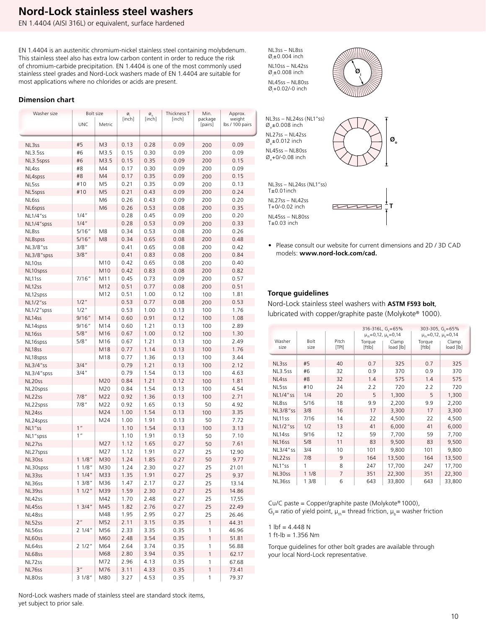### **Nord-Lock stainless steel washers**

EN 1.4404 (AISI 316L) or equivalent, surface hardened

EN 1.4404 is an austenitic chromium-nickel stainless steel containing molybdenum. This stainless steel also has extra low carbon content in order to reduce the risk of chromium-carbide precipitation. EN 1.4404 is one of the most commonly used stainless steel grades and Nord-Lock washers made of EN 1.4404 are suitable for most applications where no chlorides or acids are present.

#### **Dimension chart**

| Washer size | Bolt size       |                | ø      | $\underset{\left[\text{inch}\right]}{\overset{\cal{O}}{\mathcal{O}}}$ | Thickness T | Min.          | Approx.         |
|-------------|-----------------|----------------|--------|-----------------------------------------------------------------------|-------------|---------------|-----------------|
|             |                 |                | [inch] |                                                                       | [inch]      | package       | weight          |
|             | <b>UNC</b>      | Metric         |        |                                                                       |             | [pairs]       | lbs / 100 pairs |
|             |                 |                |        |                                                                       |             |               |                 |
| NL3ss       | #5              | M3             | 0.13   | 0.28                                                                  | 0.09        | 200           | 0.09            |
| NL3.5ss     | #6              | M3.5           | 0.15   | 0.30                                                                  | 0.09        | 200           | 0.09            |
| NL3.5spss   | #6              | M3.5           | 0.15   | 0.35                                                                  | 0.09        | 200           | 0.15            |
| NL4ss       | #8              | M4             | 0.17   | 0.30                                                                  | 0.09        | 200           | 0.09            |
|             |                 |                |        |                                                                       |             |               |                 |
| NL4spss     | #8              | M4             | 0.17   | 0.35                                                                  | 0.09        | 200           | 0.15            |
| NL5ss       | #10             | M <sub>5</sub> | 0.21   | 0.35                                                                  | 0.09        | 200           | 0.13            |
| NL5spss     | #10             | M <sub>5</sub> | 0.21   | 0.43                                                                  | 0.09        | 200           | 0.24            |
| NL6ss       |                 | M6             | 0.26   | 0.43                                                                  | 0.09        | 200           | 0.20            |
| NL6spss     |                 | M <sub>6</sub> | 0.26   | 0.53                                                                  | 0.08        | 200           | 0.35            |
| NL1/4"ss    | $1/4$ "         |                | 0.28   | 0.45                                                                  | 0.09        | 200           | 0.20            |
| NL1/4"spss  | $1/4$ "         |                | 0.28   | 0.53                                                                  | 0.09        | 200           | 0.33            |
| NL8ss       | 5/16"           | M8             | 0.34   | 0.53                                                                  | 0.08        | 200           | 0.26            |
| NL8spss     | 5/16"           | M8             | 0.34   | 0.65                                                                  | 0.08        | 200           | 0.48            |
| NL3/8"ss    | 3/8"            |                | 0.41   | 0.65                                                                  | 0.08        | 200           | 0.42            |
| NL3/8"spss  | 3/8"            |                | 0.41   | 0.83                                                                  | 0.08        | 200           | 0.84            |
| NL10ss      |                 | M10            | 0.42   | 0.65                                                                  | 0.08        | 200           | 0.40            |
| NL10spss    |                 | M10            | 0.42   | 0.83                                                                  | 0.08        | 200           | 0.82            |
| NL11ss      | 7/16''          | M11            | 0.45   | 0.73                                                                  | 0.09        | 200           | 0.57            |
| NL12ss      |                 | M12            | 0.51   | 0.77                                                                  | 0.08        | 200           | 0.51            |
| NL12spss    |                 | M12            | 0.51   | 1.00                                                                  | 0.12        | 100           | 1.81            |
| NL1/2"ss    | $1/2$ "         |                | 0.53   | 0.77                                                                  | 0.08        | 200           | 0.53            |
| NL1/2"spss  | $1/2$ "         |                | 0.53   | 1.00                                                                  | 0.13        | 100           | 1.76            |
| NL14ss      | 9/16"           | M14            | 0.60   | 0.91                                                                  | 0.12        | 100           | 1.08            |
| NL14spss    | 9/16"           | M14            | 0.60   | 1.21                                                                  | 0.13        | 100           | 2.89            |
| NL16ss      | 5/8"            | M16            | 0.67   | 1.00                                                                  | 0.12        | 100           | 1.30            |
| NL16spss    | 5/8''           | M16            | 0.67   | 1.21                                                                  | 0.13        | 100           | 2.49            |
| NL18ss      |                 | M18            | 0.77   | 1.14                                                                  | 0.13        | 100           | 1.76            |
| NL18spss    |                 | M18            | 0.77   | 1.36                                                                  | 0.13        | 100           | 3.44            |
|             | $3/4$ "         |                | 0.79   | 1.21                                                                  | 0.13        | 100           | 2.12            |
| NL3/4"ss    | $3/4$ "         |                |        |                                                                       |             |               |                 |
| NL3/4"spss  |                 |                | 0.79   | 1.54                                                                  | 0.13        | 100           | 4.63            |
| NL20ss      |                 | M20            | 0.84   | 1.21                                                                  | 0.12        | 100           | 1.81            |
| NL20spss    |                 | M20            | 0.84   | 1.54                                                                  | 0.13        | 100           | 4.54            |
| NL22ss      | $7/8$ "         | M22            | 0.92   | 1.36                                                                  | 0.13        | 100           | 2.71            |
| NL22spss    | 7/8"            | M22            | 0.92   | 1.65                                                                  | 0.13        | 50            | 4.92            |
| NL24ss      |                 | M24            | 1.00   | 1.54                                                                  | 0.13        | 100           | 3.35            |
| NL24spss    |                 | M24            | 1.00   | 1.91                                                                  | 0.13        | 50            | 7.72            |
| NL1"ss      | 1 <sup>''</sup> |                | 1.10   | 1.54                                                                  | 0.13        | 100           | 3.13            |
| NL1"spss    | 1 <sup>''</sup> |                | 1.10   | 1.91                                                                  | 0.13        | 50            | 7.10            |
| NL27ss      |                 | M27            | 1.12   | 1.65                                                                  | 0.27        | 50            | 7.61            |
| NL27spss    |                 | M27            | 1.12   | 1.91                                                                  | 0.27        | 25            | 12.90           |
| NL30ss      | 11/8"           | M30            | 1.24   | 1.85                                                                  | 0.27        | 50            | 9.77            |
| NL30spss    | 11/8"           | M30            | 1.24   | 2.30                                                                  | 0.27        | 25            | 21.01           |
| NL33ss      | 11/4"           | M33            | 1.35   | 1.91                                                                  | 0.27        | 25            | 9.37            |
| NL36ss      | 13/8"           | M36            | 1.47   | 2.17                                                                  | 0.27        | 25            | 13.14           |
| NL39ss      | 11/2"           | M39            | 1.59   | 2.30                                                                  | 0.27        | 25            | 14.86           |
| NL42ss      |                 | M42            | 1.70   | 2.48                                                                  | 0.27        | 25            | 17,55           |
| NL45ss      | 13/4"           | M45            | 1.82   | 2.76                                                                  | 0.27        | 25            | 22.49           |
| NL48ss      |                 | M48            | 1.95   | 2.95                                                                  | 0.27        | 25            | 26.46           |
| NL52ss      | 2 <sup>n</sup>  | M52            | 2.11   | 3.15                                                                  | 0.35        | $\mathbf{1}$  | 44.31           |
| NL56ss      | 21/4"           | M56            | 2.33   | 3.35                                                                  | 0.35        | 1             | 46.96           |
| NL60ss      |                 | M60            | 2.48   | 3.54                                                                  | 0.35        | $\mathbbm{1}$ | 51.81           |
| NL64ss      | 21/2"           | M64            | 2.64   | 3.74                                                                  | 0.35        | 1             | 56.88           |
| NL68ss      |                 | M68            | 2.80   | 3.94                                                                  | 0.35        | 1             | 62.17           |
| NL72ss      |                 | M72            | 2.96   | 4.13                                                                  | 0.35        | 1             | 67.68           |
| NL76ss      | 3''             | M76            | 3.11   | 4.33                                                                  | 0.35        | $\mathbf{1}$  | 73.41           |
| NL80ss      | 31/8"           | M80            | 3.27   | 4.53                                                                  | 0.35        | 1             | 79.37           |
|             |                 |                |        |                                                                       |             |               |                 |

NL3ss – NL8ss Ø<sub>i</sub>±0.004 inch NL10ss – NL42ss Ø<sub>i</sub>±0.008 inch

NL45ss – NL80ss Ø<sub>i</sub>+0.02/-0 inch



**Øo**

**T**

NL3ss – NL24ss (NL1"ss) T±0.01inch NL3ss – NL24ss (NL1"ss)  $\varnothing$ <sub>o</sub>±0.008 inch NL27ss – NL42ss  $\varnothing$ <sub>o</sub> $\pm$ 0.012 inch NL45ss – NL80ss  $\varnothing$ <sub>o</sub>+0/-0.08 inch

NL27ss – NL42ss T+0/-0.02 inch NL45ss – NL80ss

 $T±0.03$  inch

• Please consult our website for current dimensions and 2D / 3D CAD models: **www.nord-lock.com/cad.**

 $777777$ 

#### **Torque guidelines**

Nord-Lock stainless steel washers with **ASTM F593 bolt**, lubricated with copper/graphite paste (Molykote® 1000).

|                    |              | 316-316L, G <sub>c</sub> =65%<br>$\mu_{th} = 0.12$ , $\mu_{h} = 0.14$ |                  |                    | 303-305, G <sub>c</sub> =65%<br>$\mu_{\scriptscriptstyle{th}}$ =0,12, $\mu_{\scriptscriptstyle{h}}$ =0,14 |                    |  |
|--------------------|--------------|-----------------------------------------------------------------------|------------------|--------------------|-----------------------------------------------------------------------------------------------------------|--------------------|--|
| Washer<br>size     | Bolt<br>size | Pitch<br>[TP1]                                                        | Toraue<br>[ftlb] | Clamp<br>load [lb] | Toraue<br>[ftlb]                                                                                          | Clamp<br>load [lb] |  |
|                    |              |                                                                       |                  |                    |                                                                                                           |                    |  |
| NL3ss              | #5           | 40                                                                    | 0.7              | 325                | 0.7                                                                                                       | 325                |  |
| <b>NL3.5ss</b>     | #6           | 32                                                                    | 0.9              | 370                | 0.9                                                                                                       | 370                |  |
| NL4ss              | #8           | 32                                                                    | 1.4              | 575                | 1.4                                                                                                       | 575                |  |
| NL5ss              | #10          | 24                                                                    | 2.2              | 720                | 2.2                                                                                                       | 720                |  |
| NL1/4"ss           | 1/4          | 20                                                                    | 5                | 1,300              | 5                                                                                                         | 1,300              |  |
| NL8ss              | 5/16         | 18                                                                    | 9.9              | 2,200              | 9.9                                                                                                       | 2,200              |  |
| NL3/8"ss           | 3/8          | 16                                                                    | 17               | 3,300              | 17                                                                                                        | 3,300              |  |
| NL11 <sub>SS</sub> | 7/16         | 14                                                                    | 22               | 4,500              | 22                                                                                                        | 4,500              |  |
| NL1/2"ss           | 1/2          | 13                                                                    | 41               | 6,000              | 41                                                                                                        | 6,000              |  |
| NL14ss             | 9/16         | 12                                                                    | 59               | 7,700              | 59                                                                                                        | 7,700              |  |
| NL <sub>16ss</sub> | 5/8          | 11                                                                    | 83               | 9,500              | 83                                                                                                        | 9,500              |  |
| NL3/4"ss           | 3/4          | 10                                                                    | 101              | 9,800              | 101                                                                                                       | 9,800              |  |
| NL22ss             | 7/8          | 9                                                                     | 164              | 13,500             | 164                                                                                                       | 13,500             |  |
| NL1"ss             | 1            | 8                                                                     | 247              | 17,700             | 247                                                                                                       | 17,700             |  |
| NL30ss             | 11/8         | $\overline{7}$                                                        | 351              | 22,300             | 351                                                                                                       | 22,300             |  |
| NL36ss             | 13/8         | 6                                                                     | 643              | 33,800             | 643                                                                                                       | 33,800             |  |

Cu/C paste = Copper/graphite paste (Molykote® 1000),  $G_F$  ratio of yield point,  $\mu_{th}$  thread friction,  $\mu_{b}$  = washer friction

1  $Ibf = 4.448 N$ 

1 ft-lb = 1.356 Nm

Torque guidelines for other bolt grades are available through your local Nord-Lock representative.

Nord-Lock washers made of stainless steel are standard stock items, yet subject to prior sale.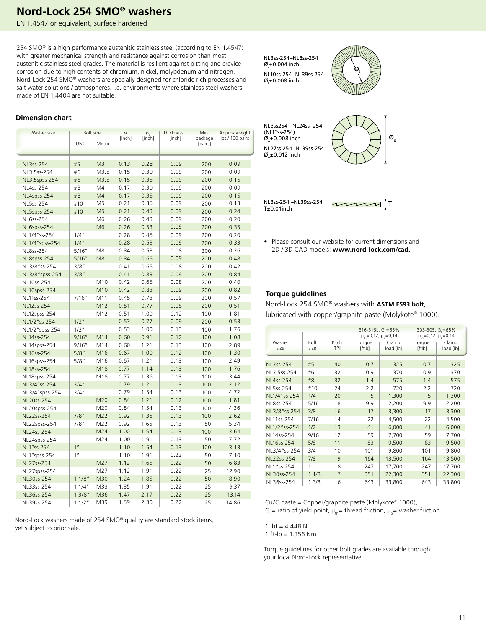### **Nord-Lock 254 SMO® washers**

EN 1.4547 or equivalent, surface hardened

254 SMO® is a high performance austenitic stainless steel (according to EN 1.4547) with greater mechanical strength and resistance against corrosion than most austenitic stainless steel grades. The material is resilient against pitting and crevice corrosion due to high contents of chromium, nickel, molybdenum and nitrogen. Nord-Lock 254 SMO® washers are specially designed for chloride rich processes and salt water solutions / atmospheres, i.e. environments where stainless steel washers made of EN 1.4404 are not suitable.

NL3ss-254–NL8ss-254 Ø<sub>i</sub>±0.004 inch NL10ss-254–NL39ss-254 Ø<sub>i</sub>±0.008 inch



#### NL3ss254 –NL24ss -254 (NL1"ss-254)  $\alpha_{\pm 0.008}$  inch **Øo** NL27ss-254–NL39ss-254  $\varnothing$ <sub>,</sub> $\pm$ 0.012 inch NL3ss-254 –NL39ss-254  $\sqrt{2}$  $\neg\neg\neg\neg$ **T** T±0.01inch

• Please consult our website for current dimensions and 2D / 3D CAD models: **www.nord-lock.com/cad.**

#### **Torque guidelines**

Nord-Lock 254 SMO® washers with **ASTM F593 bolt**, lubricated with copper/graphite paste (Molykote® 1000).

|                  |                     | 316-316L, G <sub>c</sub> =65%<br>$\mu_{th} = 0.12$ , $\mu_{h} = 0.14$ |                  |                    |                  | 303-305, $G_c = 65\%$<br>$\mu_{\text{th}} = 0.12$ , $\mu_{\text{h}} = 0.14$ |
|------------------|---------------------|-----------------------------------------------------------------------|------------------|--------------------|------------------|-----------------------------------------------------------------------------|
| Washer<br>size   | <b>Bolt</b><br>size | Pitch<br>[TP1]                                                        | Torque<br>[ftlb] | Clamp<br>load [lb] | Torque<br>[ftlb] | Clamp<br>load [lb]                                                          |
|                  |                     |                                                                       |                  |                    |                  |                                                                             |
| NL3ss-254        | #5                  | 40                                                                    | 0.7              | 325                | 0.7              | 325                                                                         |
| NL3.5ss-254      | #6                  | 32                                                                    | 0.9              | 370                | 0.9              | 370                                                                         |
| <b>NL4ss-254</b> | #8                  | 32                                                                    | 1.4              | 575                | 1.4              | 575                                                                         |
| NL5ss-254        | #10                 | 24                                                                    | 2.2              | 720                | 2.2              | 720                                                                         |
| NL1/4" ss-254    | 1/4                 | 20                                                                    | 5                | 1,300              | 5                | 1,300                                                                       |
| NL8ss-254        | 5/16                | 18                                                                    | 9.9              | 2,200              | 9.9              | 2,200                                                                       |
| NL3/8"ss-254     | 3/8                 | 16                                                                    | 17               | 3,300              | 17               | 3,300                                                                       |
| NL11ss-254       | 7/16                | 14                                                                    | 22               | 4,500              | 22               | 4,500                                                                       |
| NL1/2"ss-254     | 1/2                 | 13                                                                    | 41               | 6,000              | 41               | 6,000                                                                       |
| NL14ss-254       | 9/16                | 12                                                                    | 59               | 7,700              | 59               | 7,700                                                                       |
| NL16ss-254       | 5/8                 | 11                                                                    | 83               | 9,500              | 83               | 9,500                                                                       |
| NL3/4"ss-254     | 3/4                 | 10                                                                    | 101              | 9,800              | 101              | 9,800                                                                       |
| NL22ss-254       | 7/8                 | 9                                                                     | 164              | 13,500             | 164              | 13,500                                                                      |
| NL1 "ss-254      | 1                   | 8                                                                     | 247              | 17,700             | 247              | 17,700                                                                      |
| NL30ss-254       | 11/8                | $\overline{7}$                                                        | 351              | 22,300             | 351              | 22,300                                                                      |
| NL36ss-254       | 13/8                | 6                                                                     | 643              | 33,800             | 643              | 33,800                                                                      |

Cu/C paste = Copper/graphite paste (Molykote® 1000),  $G_F$  ratio of yield point,  $\mu_{th}$  thread friction,  $\mu_{b}$  = washer friction

1  $Ibf = 4.448 N$ 

1 ft-lb = 1.356 Nm

Torque guidelines for other bolt grades are available through your local Nord-Lock representative.

| <b>Dimension chart</b> |  |
|------------------------|--|
|                        |  |

| Washer size    |                 | <b>Bolt size</b> | Ø      | $\frac{\varnothing}{\lbrack \mathsf{inch} \rbrack}$ | Thickness T | Min.               | Approx weight   |
|----------------|-----------------|------------------|--------|-----------------------------------------------------|-------------|--------------------|-----------------|
|                | <b>UNC</b>      | Metric           | [inch] |                                                     | [inch]      | package<br>[pairs] | lbs / 100 pairs |
|                |                 |                  |        |                                                     |             |                    |                 |
|                |                 |                  |        |                                                     |             |                    |                 |
| NL3ss-254      | #5              | M <sub>3</sub>   | 0.13   | 0.28                                                | 0.09        | 200                | 0.09            |
| NL3.5ss-254    | #6              | M3.5             | 0.15   | 0.30                                                | 0.09        | 200                | 0.09            |
| NL3.5spss-254  | #6              | M3.5             | 0.15   | 0.35                                                | 0.09        | 200                | 0.15            |
| NL4ss-254      | #8              | M4               | 0.17   | 0.30                                                | 0.09        | 200                | 0.09            |
| NL4spss-254    | #8              | M <sub>4</sub>   | 0.17   | 0.35                                                | 0.09        | 200                | 0.15            |
| NL5ss-254      | #10             | M <sub>5</sub>   | 0.21   | 0.35                                                | 0.09        | 200                | 0.13            |
| NL5spss-254    | #10             | M <sub>5</sub>   | 0.21   | 0.43                                                | 0.09        | 200                | 0.24            |
| NL6ss-254      |                 | M6               | 0.26   | 0.43                                                | 0.09        | 200                | 0.20            |
| NL6spss-254    |                 | M <sub>6</sub>   | 0.26   | 0.53                                                | 0.09        | 200                | 0.35            |
| NL1/4"ss-254   | 1/4"            |                  | 0.28   | 0.45                                                | 0.09        | 200                | 0.20            |
| NL1/4"spss-254 | 1/4"            |                  | 0.28   | 0.53                                                | 0.09        | 200                | 0.33            |
| NL8ss-254      | 5/16"           | M8               | 0.34   | 0.53                                                | 0.08        | 200                | 0.26            |
| NL8spss-254    | 5/16"           | M <sub>8</sub>   | 0.34   | 0.65                                                | 0.09        | 200                | 0.48            |
| NL3/8"ss-254   | 3/8"            |                  | 0.41   | 0.65                                                | 0.08        | 200                | 0.42            |
| NL3/8"spss-254 | 3/8"            |                  | 0.41   | 0.83                                                | 0.09        | 200                | 0.84            |
| NL10ss-254     |                 | M10              | 0.42   | 0.65                                                | 0.08        | 200                | 0.40            |
| NL10spss-254   |                 | M10              | 0.42   | 0.83                                                | 0.09        | 200                | 0.82            |
| NL11ss-254     | 7/16"           | M11              | 0.45   | 0.73                                                | 0.09        | 200                | 0.57            |
| NL12ss-254     |                 | M12              | 0.51   | 0.77                                                | 0.08        | 200                | 0.51            |
| NL12spss-254   |                 | M12              | 0.51   | 1.00                                                | 0.12        | 100                | 1.81            |
| NL1/2"ss-254   | 1/2"            |                  | 0.53   | 0.77                                                | 0.09        | 200                | 0.53            |
| NL1/2"spss-254 | 1/2"            |                  | 0.53   | 1.00                                                | 0.13        | 100                | 1.76            |
| NL14ss-254     | 9/16"           | M14              | 0.60   | 0.91                                                | 0.12        | 100                | 1.08            |
| NL14spss-254   | 9/16"           | M14              | 0.60   | 1.21                                                | 0.13        | 100                | 2.89            |
| NL16ss-254     | 5/8"            | M16              | 0.67   | 1.00                                                | 0.12        | 100                | 1.30            |
| NL16spss-254   | 5/8"            | M16              | 0.67   | 1.21                                                | 0.13        | 100                | 2.49            |
| NL18ss-254     |                 | M18              | 0.77   | 1.14                                                | 0.13        | 100                | 1.76            |
| NL18spss-254   |                 | M18              | 0.77   | 1.36                                                | 0.13        | 100                | 3.44            |
| NL3/4"ss-254   | 3/4"            |                  | 0.79   | 1.21                                                | 0.13        | 100                | 2.12            |
| NL3/4"spss-254 | 3/4''           |                  | 0.79   | 1.54                                                | 0.13        | 100                | 4.72            |
| NL20ss-254     |                 | M20              | 0.84   | 1.21                                                | 0.12        | 100                | 1.81            |
| NL20spss-254   |                 | M20              | 0.84   | 1.54                                                | 0.13        | 100                | 4.36            |
| NL22ss-254     | 7/8"            | M22              | 0.92   | 1.36                                                | 0.13        | 100                | 2.62            |
| NL22spss-254   | 7/8"            | M22              | 0.92   | 1.65                                                | 0.13        | 50                 | 5.34            |
| NL24ss-254     |                 | M24              | 1.00   | 1.54                                                | 0.13        | 100                | 3.64            |
| NL24spss-254   |                 | M24              | 1.00   | 1.91                                                | 0.13        | 50                 | 7.72            |
| NL1"ss-254     | 1 <sup>''</sup> |                  | 1.10   | 1.54                                                | 0.13        | 100                | 3.13            |
| NL1"spss-254   | 1 <sup>''</sup> |                  | 1.10   | 1.91                                                | 0.22        | 50                 | 7.10            |
| NL27ss-254     |                 | M27              | 1.12   | 1.65                                                | 0.22        | 50                 | 6.83            |
| NL27spss-254   |                 | M27              | 1.12   | 1.91                                                | 0.22        | 25                 | 12.90           |
| NL30ss-254     | 11/8"           | M30              | 1.24   | 1.85                                                | 0.22        | 50                 | 8.90            |
| NL33ss-254     | 11/4"           | M33              | 1.35   | 1.91                                                | 0.22        | 25                 | 9.37            |
| NL36ss-254     | 13/8"           | M36              | 1.47   | 2.17                                                | 0.22        | 25                 | 13.14           |
| NL39ss-254     | 11/2"           | M39              | 1.59   | 2.30                                                | 0.22        | 25                 | 14.86           |

Nord-Lock washers made of 254 SMO® quality are standard stock items, yet subject to prior sale.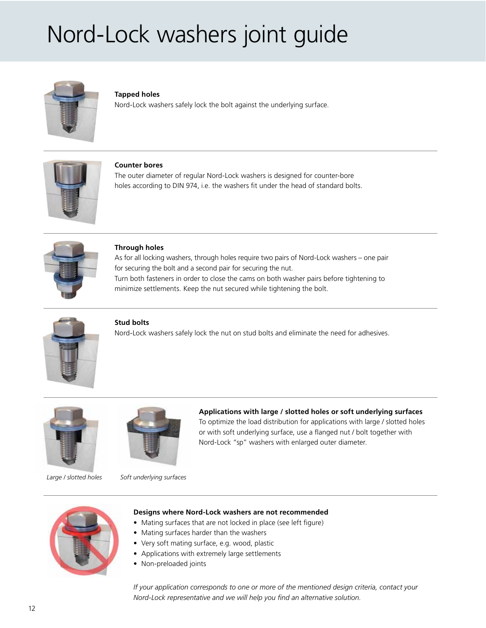## Nord-Lock washers joint guide



#### **Tapped holes**

Nord-Lock washers safely lock the bolt against the underlying surface.



**Counter bores**

The outer diameter of regular Nord-Lock washers is designed for counter-bore holes according to DIN 974, i.e. the washers fit under the head of standard bolts.



#### **Through holes**

As for all locking washers, through holes require two pairs of Nord-Lock washers – one pair for securing the bolt and a second pair for securing the nut. Turn both fasteners in order to close the cams on both washer pairs before tightening to minimize settlements. Keep the nut secured while tightening the bolt.



#### **Stud bolts**

Nord-Lock washers safely lock the nut on stud bolts and eliminate the need for adhesives.





**Applications with large / slotted holes or soft underlying surfaces** To optimize the load distribution for applications with large / slotted holes or with soft underlying surface, use a flanged nut / bolt together with Nord-Lock "sp" washers with enlarged outer diameter.

*Large / slotted holes Soft underlying surfaces*



#### **Designs where Nord-Lock washers are not recommended**

- Mating surfaces that are not locked in place (see left figure)
- Mating surfaces harder than the washers
- Very soft mating surface, e.g. wood, plastic
- Applications with extremely large settlements
- Non-preloaded joints

*If your application corresponds to one or more of the mentioned design criteria, contact your Nord-Lock representative and we will help you find an alternative solution.*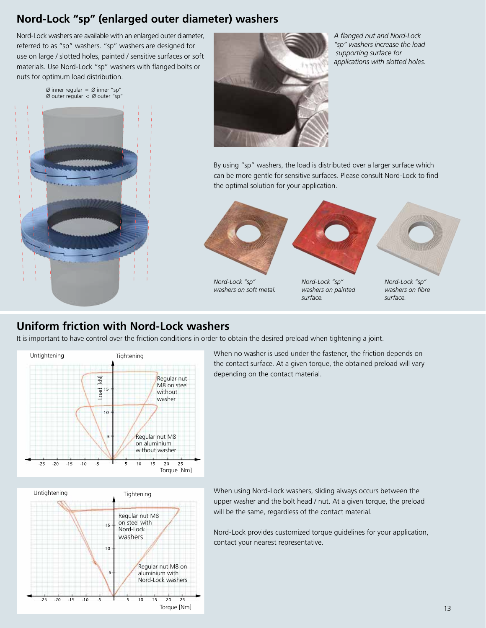### **Nord-Lock "sp" (enlarged outer diameter) washers**

Nord-Lock washers are available with an enlarged outer diameter, referred to as "sp" washers. "sp" washers are designed for use on large / slotted holes, painted / sensitive surfaces or soft materials. Use Nord-Lock "sp" washers with flanged bolts or nuts for optimum load distribution.

> $\emptyset$  inner regular =  $\emptyset$  inner "sp" Ø outer regular < Ø outer "sp"





*A flanged nut and Nord-Lock "sp" washers increase the load supporting surface for applications with slotted holes.*

By using "sp" washers, the load is distributed over a larger surface which can be more gentle for sensitive surfaces. Please consult Nord-Lock to find the optimal solution for your application.



*washers on soft metal.*

*Nord-Lock "sp" washers on painted surface.*

*Nord-Lock "sp" washers on fibre surface.*

### **Uniform friction with Nord-Lock washers**

It is important to have control over the friction conditions in order to obtain the desired preload when tightening a joint.



When no washer is used under the fastener, the friction depends on the contact surface. At a given torque, the obtained preload will vary depending on the contact material.



When using Nord-Lock washers, sliding always occurs between the upper washer and the bolt head / nut. At a given torque, the preload will be the same, regardless of the contact material.

Nord-Lock provides customized torque guidelines for your application, contact your nearest representative.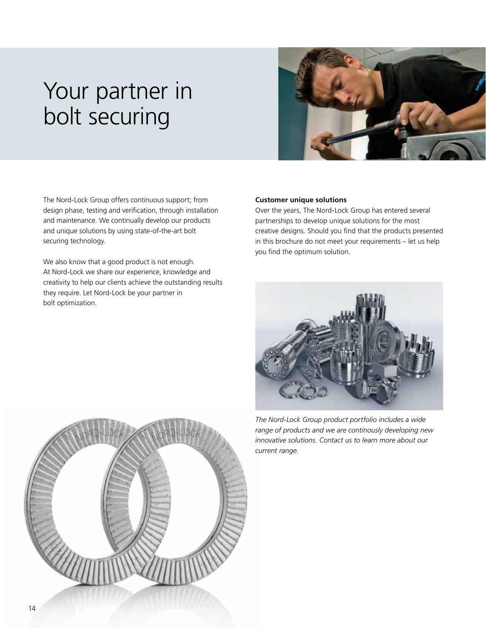## Your partner in bolt securing



The Nord-Lock Group offers continuous support; from design phase, testing and verification, through installation and maintenance. We continually develop our products and unique solutions by using state-of-the-art bolt securing technology.

We also know that a good product is not enough. At Nord-Lock we share our experience, knowledge and creativity to help our clients achieve the outstanding results they require. Let Nord-Lock be your partner in bolt optimization.

#### **Customer unique solutions**

Over the years, The Nord-Lock Group has entered several partnerships to develop unique solutions for the most creative designs. Should you find that the products presented in this brochure do not meet your requirements – let us help you find the optimum solution.



*The Nord-Lock Group product portfolio includes a wide range of products and we are continously developing new innovative solutions. Contact us to learn more about our current range.*

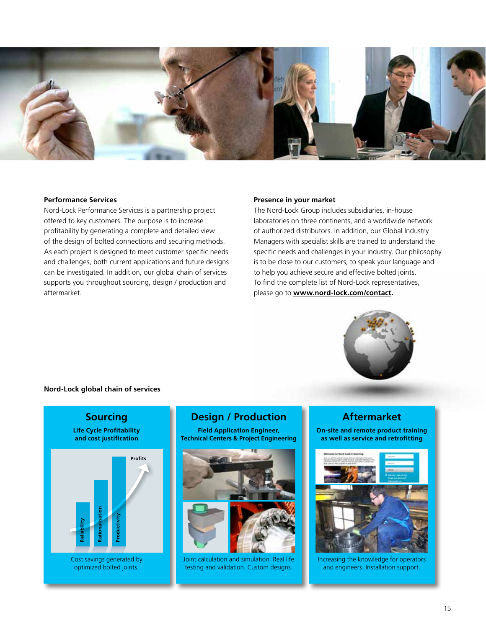

#### **Performance Services**

Nord-Lock Performance Services is a partnership project offered to key customers. The purpose is to increase profitability by generating a complete and detailed view of the design of bolted connections and securing methods. As each project is designed to meet customer specific needs and challenges, both current applications and future designs can be investigated. In addition, our global chain of services supports you throughout sourcing, design / production and aftermarket.

#### **Presence in your market**

The Nord-Lock Group includes subsidiaries, in-house laboratories on three continents, and a worldwide network of authorized distributors. In addition, our Global Industry Managers with specialist skills are trained to understand the specific needs and challenges in your industry. Our philosophy is to be close to our customers, to speak your language and to help you achieve secure and effective bolted joints. To find the complete list of Nord-Lock representatives, please go to **www.nord-lock.com/contact.**



#### **Nord-Lock global chain of services**



### **Design / Production**

**Field Application Engineer, Technical Centers & Project Engineering**



Joint calculation and simulation. Real life testing and validation. Custom designs.

### **Aftermarket**

**On-site and remote product training as well as service and retrofitting**



Increasing the knowledge for operators and engineers. Installation support.